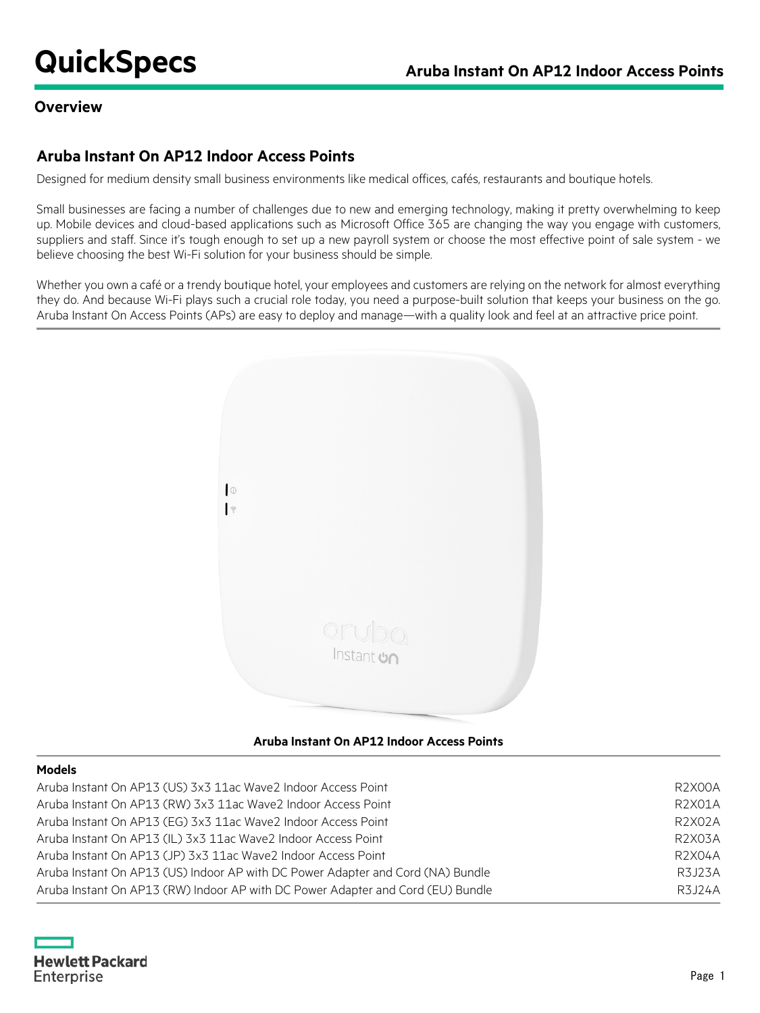## **Overview**

# **Aruba Instant On AP12 Indoor Access Points**

Designed for medium density small business environments like medical offices, cafés, restaurants and boutique hotels.

Small businesses are facing a number of challenges due to new and emerging technology, making it pretty overwhelming to keep up. Mobile devices and cloud-based applications such as Microsoft Office 365 are changing the way you engage with customers, suppliers and staff. Since it's tough enough to set up a new payroll system or choose the most effective point of sale system - we believe choosing the best Wi-Fi solution for your business should be simple.

Whether you own a café or a trendy boutique hotel, your employees and customers are relying on the network for almost everything they do. And because Wi-Fi plays such a crucial role today, you need a purpose-built solution that keeps your business on the go. Aruba Instant On Access Points (APs) are easy to deploy and manage—with a quality look and feel at an attractive price point.



### **Aruba Instant On AP12 Indoor Access Points**

#### **Models**

| Aruba Instant On AP13 (US) 3x3 11ac Wave2 Indoor Access Point                   | <b>R2X00A</b> |
|---------------------------------------------------------------------------------|---------------|
| Aruba Instant On AP13 (RW) 3x3 11ac Wave2 Indoor Access Point                   | R2X01A        |
| Aruba Instant On AP13 (EG) 3x3 11ac Wave2 Indoor Access Point                   | R2X02A        |
| Aruba Instant On AP13 (IL) 3x3 11ac Wave2 Indoor Access Point                   | R2X03A        |
| Aruba Instant On AP13 (JP) 3x3 11ac Wave2 Indoor Access Point                   | R2X04A        |
| Aruba Instant On AP13 (US) Indoor AP with DC Power Adapter and Cord (NA) Bundle | R3J23A        |
| Aruba Instant On AP13 (RW) Indoor AP with DC Power Adapter and Cord (EU) Bundle | R3J24A        |
|                                                                                 |               |

**Hewlett Packard** Enterprise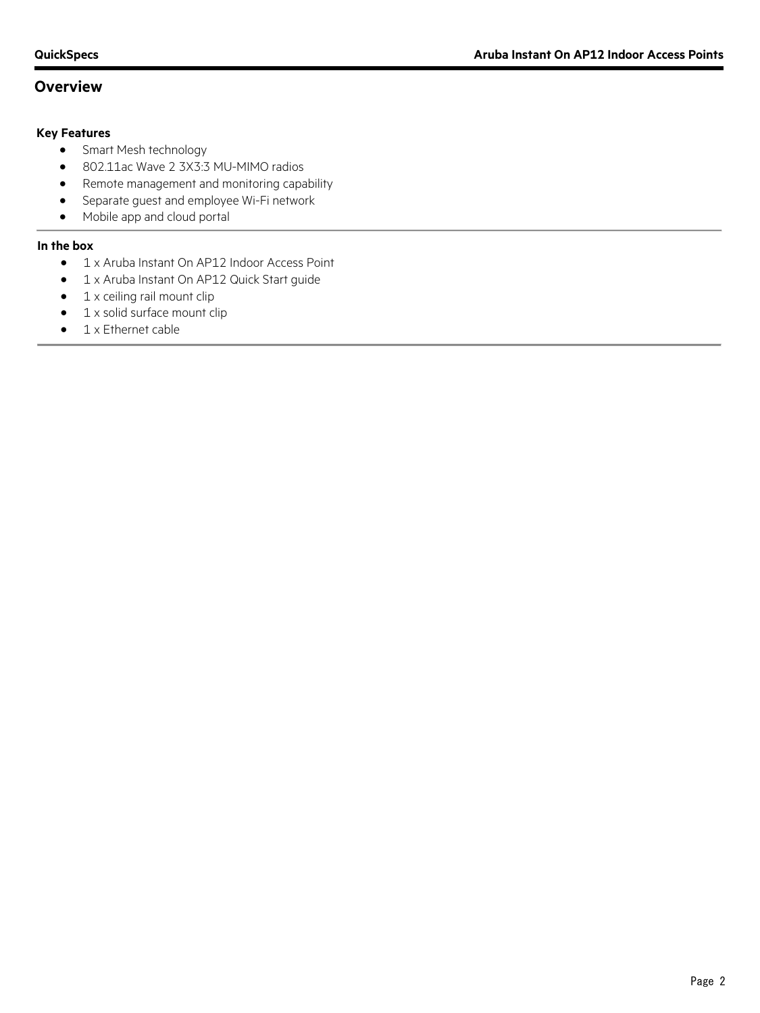# **Overview**

#### **Key Features**

- Smart Mesh technology
- 802.11ac Wave 2 3X3:3 MU-MIMO radios
- Remote management and monitoring capability
- Separate guest and employee Wi-Fi network
- Mobile app and cloud portal

#### **In the box**

- 1 x Aruba Instant On AP12 Indoor Access Point
- 1 x Aruba Instant On AP12 Quick Start guide
- 1 x ceiling rail mount clip
- 1 x solid surface mount clip
- 1 x Ethernet cable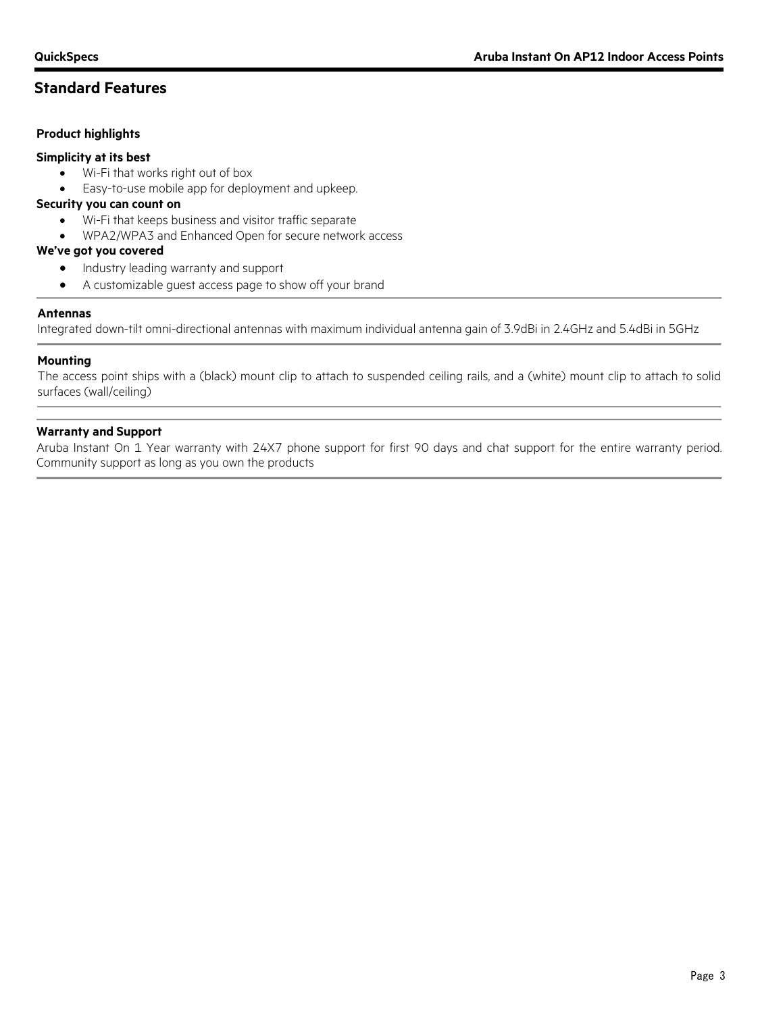# **Standard Features**

#### **Product highlights**

#### **Simplicity at its best**

- Wi-Fi that works right out of box
- Easy-to-use mobile app for deployment and upkeep.

#### **Security you can count on**

- Wi-Fi that keeps business and visitor traffic separate
- WPA2/WPA3 and Enhanced Open for secure network access

#### **We've got you covered**

- Industry leading warranty and support
- A customizable guest access page to show off your brand

#### **Antennas**

Integrated down-tilt omni-directional antennas with maximum individual antenna gain of 3.9dBi in 2.4GHz and 5.4dBi in 5GHz

#### **Mounting**

The access point ships with a (black) mount clip to attach to suspended ceiling rails, and a (white) mount clip to attach to solid surfaces (wall/ceiling)

#### **Warranty and Support**

Aruba Instant On 1 Year warranty with 24X7 phone support for first 90 days and chat support for the entire warranty period. Community support as long as you own the products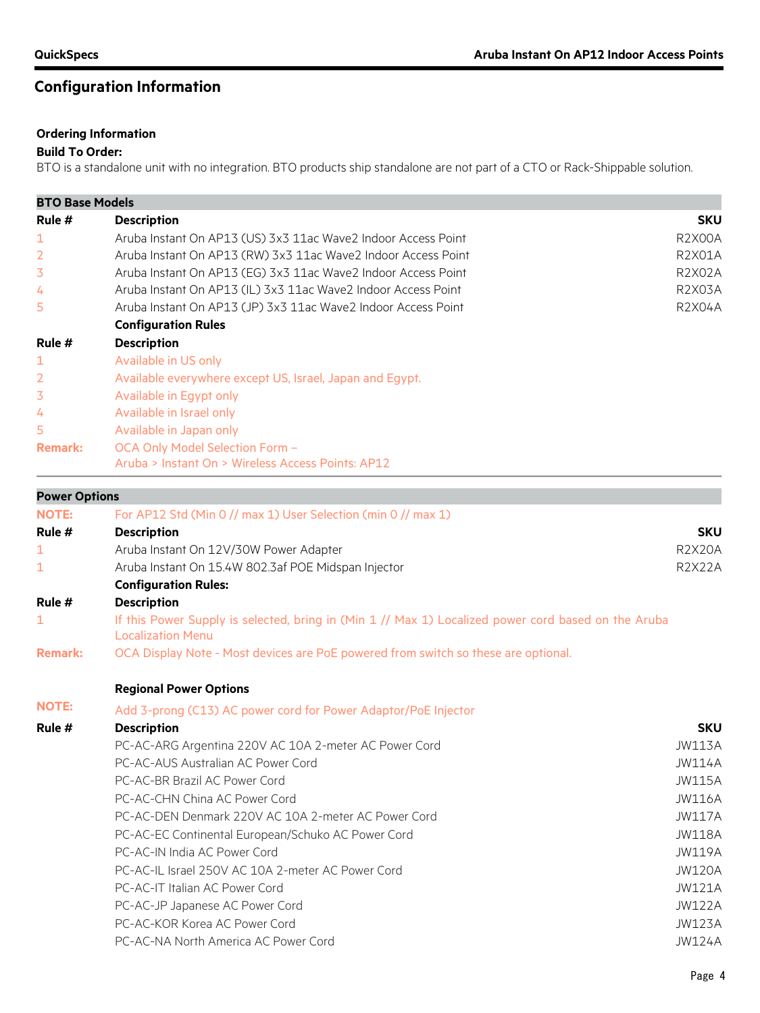# **Configuration Information**

#### **Ordering Information**

### **Build To Order:**

BTO is a standalone unit with no integration. BTO products ship standalone are not part of a CTO or Rack-Shippable solution.

| <b>BTO Base Models</b>                                             |                                                                                                                                 |               |  |  |  |  |  |
|--------------------------------------------------------------------|---------------------------------------------------------------------------------------------------------------------------------|---------------|--|--|--|--|--|
| Rule $#$                                                           | <b>Description</b>                                                                                                              | <b>SKU</b>    |  |  |  |  |  |
| 1                                                                  | Aruba Instant On AP13 (US) 3x3 11ac Wave2 Indoor Access Point                                                                   |               |  |  |  |  |  |
| $\overline{2}$                                                     | Aruba Instant On AP13 (RW) 3x3 11ac Wave2 Indoor Access Point                                                                   |               |  |  |  |  |  |
| 3                                                                  | Aruba Instant On AP13 (EG) 3x3 11ac Wave2 Indoor Access Point                                                                   |               |  |  |  |  |  |
| Aruba Instant On AP13 (IL) 3x3 11ac Wave2 Indoor Access Point<br>4 |                                                                                                                                 |               |  |  |  |  |  |
| 5                                                                  | Aruba Instant On AP13 (JP) 3x3 11ac Wave2 Indoor Access Point                                                                   | <b>R2X04A</b> |  |  |  |  |  |
|                                                                    | <b>Configuration Rules</b>                                                                                                      |               |  |  |  |  |  |
| Rule $#$                                                           | <b>Description</b>                                                                                                              |               |  |  |  |  |  |
| 1                                                                  | Available in US only                                                                                                            |               |  |  |  |  |  |
| $\overline{2}$                                                     | Available everywhere except US, Israel, Japan and Egypt.                                                                        |               |  |  |  |  |  |
| 3                                                                  | Available in Egypt only                                                                                                         |               |  |  |  |  |  |
| 4                                                                  | Available in Israel only                                                                                                        |               |  |  |  |  |  |
| 5                                                                  | Available in Japan only                                                                                                         |               |  |  |  |  |  |
| <b>Remark:</b>                                                     | OCA Only Model Selection Form -                                                                                                 |               |  |  |  |  |  |
|                                                                    | Aruba > Instant On > Wireless Access Points: AP12                                                                               |               |  |  |  |  |  |
| <b>Power Options</b>                                               |                                                                                                                                 |               |  |  |  |  |  |
| <b>NOTE:</b>                                                       | For AP12 Std (Min 0 // max 1) User Selection (min 0 // max 1)                                                                   |               |  |  |  |  |  |
| Rule $#$                                                           | <b>Description</b>                                                                                                              | <b>SKU</b>    |  |  |  |  |  |
| 1                                                                  | Aruba Instant On 12V/30W Power Adapter                                                                                          | <b>R2X20A</b> |  |  |  |  |  |
| 1                                                                  | Aruba Instant On 15.4W 802.3af POE Midspan Injector                                                                             | <b>R2X22A</b> |  |  |  |  |  |
|                                                                    | <b>Configuration Rules:</b>                                                                                                     |               |  |  |  |  |  |
| Rule #                                                             | <b>Description</b>                                                                                                              |               |  |  |  |  |  |
| 1                                                                  | If this Power Supply is selected, bring in (Min 1 // Max 1) Localized power cord based on the Aruba<br><b>Localization Menu</b> |               |  |  |  |  |  |
| <b>Remark:</b>                                                     | OCA Display Note - Most devices are PoE powered from switch so these are optional.                                              |               |  |  |  |  |  |
|                                                                    | <b>Regional Power Options</b>                                                                                                   |               |  |  |  |  |  |
| <b>NOTE:</b>                                                       | Add 3-prong (C13) AC power cord for Power Adaptor/PoE Injector                                                                  |               |  |  |  |  |  |

| Rule # | <b>Description</b>                                    | <b>SKU</b>    |
|--------|-------------------------------------------------------|---------------|
|        | PC-AC-ARG Argentina 220V AC 10A 2-meter AC Power Cord | JW113A        |
|        | PC-AC-AUS Australian AC Power Cord                    | JW114A        |
|        | PC-AC-BR Brazil AC Power Cord                         | JW115A        |
|        | PC-AC-CHN China AC Power Cord                         | JW116A        |
|        | PC-AC-DEN Denmark 220V AC 10A 2-meter AC Power Cord   | <b>JW117A</b> |
|        | PC-AC-EC Continental European/Schuko AC Power Cord    | <b>JW118A</b> |
|        | PC-AC-IN India AC Power Cord                          | JW119A        |
|        | PC-AC-IL Israel 250V AC 10A 2-meter AC Power Cord     | <b>JW120A</b> |
|        | PC-AC-IT Italian AC Power Cord                        | <b>JW121A</b> |
|        | PC-AC-JP Japanese AC Power Cord                       | <b>JW122A</b> |
|        | PC-AC-KOR Korea AC Power Cord                         | JW123A        |
|        | PC-AC-NA North America AC Power Cord                  | <b>JW124A</b> |
|        |                                                       |               |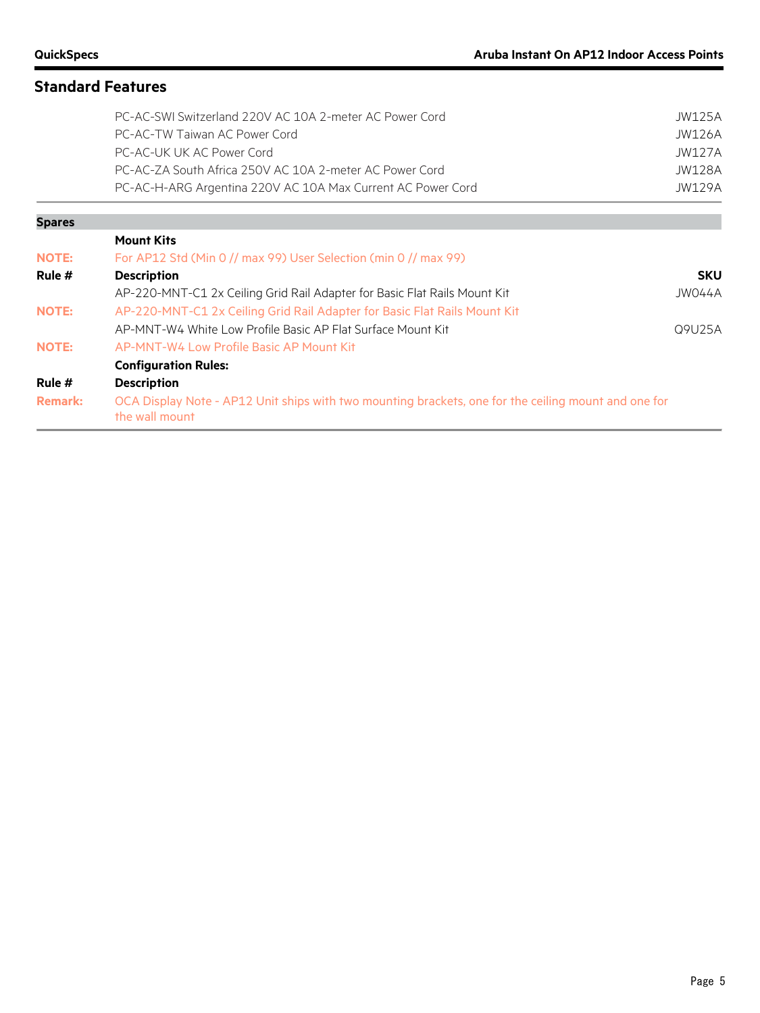**Spares**

# **Standard Features**

| PC-AC-SWI Switzerland 220V AC 10A 2-meter AC Power Cord     | JW125A |
|-------------------------------------------------------------|--------|
| PC-AC-TW Taiwan AC Power Cord                               | JW126A |
| PC-AC-UK UK AC Power Cord                                   | JW127A |
| PC-AC-ZA South Africa 250V AC 10A 2-meter AC Power Cord     | JW128A |
| PC-AC-H-ARG Argentina 220V AC 10A Max Current AC Power Cord | JW129A |
|                                                             |        |
|                                                             |        |

|                | <b>Mount Kits</b>                                                                                                      |            |
|----------------|------------------------------------------------------------------------------------------------------------------------|------------|
| <b>NOTE:</b>   | For AP12 Std (Min 0 // max 99) User Selection (min 0 // max 99)                                                        |            |
| Rule #         | <b>Description</b>                                                                                                     | <b>SKU</b> |
|                | AP-220-MNT-C1 2x Ceiling Grid Rail Adapter for Basic Flat Rails Mount Kit                                              | JW044A     |
| <b>NOTE:</b>   | AP-220-MNT-C1 2x Ceiling Grid Rail Adapter for Basic Flat Rails Mount Kit                                              |            |
|                | AP-MNT-W4 White Low Profile Basic AP Flat Surface Mount Kit                                                            | Q9U25A     |
| <b>NOTE:</b>   | AP-MNT-W4 Low Profile Basic AP Mount Kit                                                                               |            |
|                | <b>Configuration Rules:</b>                                                                                            |            |
| Rule #         | <b>Description</b>                                                                                                     |            |
| <b>Remark:</b> | OCA Display Note - AP12 Unit ships with two mounting brackets, one for the ceiling mount and one for<br>the wall mount |            |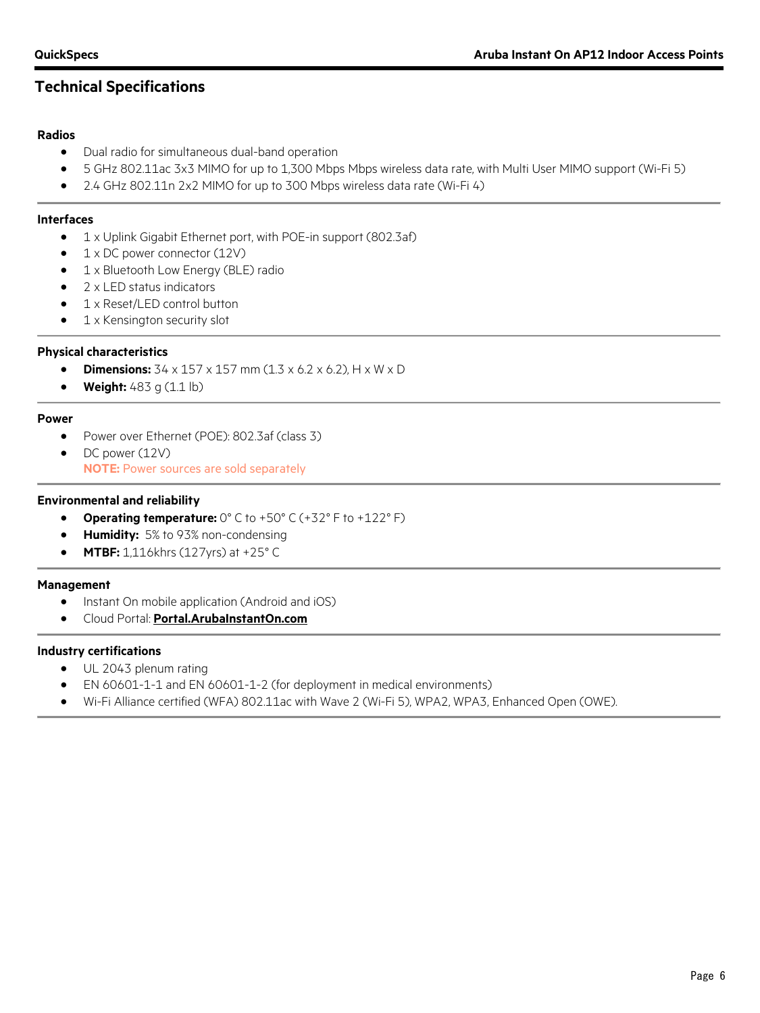# **Technical Specifications**

#### **Radios**

- Dual radio for simultaneous dual-band operation
- 5 GHz 802.11ac 3x3 MIMO for up to 1,300 Mbps Mbps wireless data rate, with Multi User MIMO support (Wi-Fi 5)
- 2.4 GHz 802.11n 2x2 MIMO for up to 300 Mbps wireless data rate (Wi-Fi 4)

#### **Interfaces**

- 1 x Uplink Gigabit Ethernet port, with POE-in support (802.3af)
- 1 x DC power connector (12V)
- 1 x Bluetooth Low Energy (BLE) radio
- 2 x LED status indicators
- 1 x Reset/LED control button
- 1 x Kensington security slot

#### **Physical characteristics**

- **Dimensions:** 34 x 157 x 157 mm (1.3 x 6.2 x 6.2), H x W x D
- **Weight:** 483 g (1.1 lb)

#### **Power**

- Power over Ethernet (POE): 802.3af (class 3)
- DC power (12V)

**NOTE:** Power sources are sold separately

#### **Environmental and reliability**

- **Operating temperature:** 0° C to +50° C (+32° F to +122° F)
- **Humidity:** 5% to 93% non-condensing
- **MTBF:** 1,116khrs (127yrs) at +25° C

#### **Management**

- Instant On mobile application (Android and iOS)
- Cloud Portal: **[Portal.ArubaInstantOn.com](http://www.portal.arubainstanton.com/)**

#### **Industry certifications**

- UL 2043 plenum rating
- EN 60601-1-1 and EN 60601-1-2 (for deployment in medical environments)
- Wi-Fi Alliance certified (WFA) 802.11ac with Wave 2 (Wi-Fi 5), WPA2, WPA3, Enhanced Open (OWE).